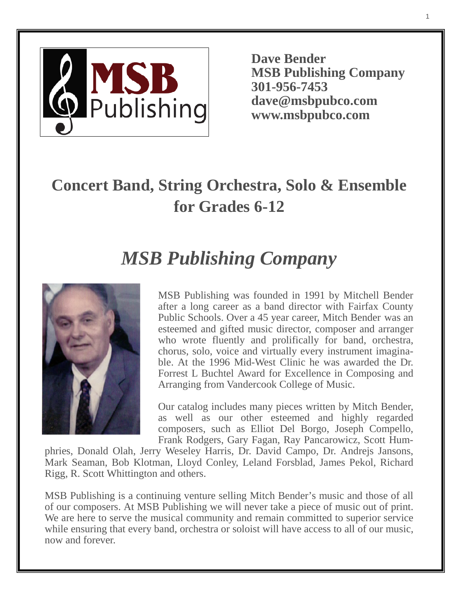

**Dave Bender MSB Publishing Company 301-956-7453 dave@msbpubco.com www.msbpubco.com**

# **Concert Band, String Orchestra, Solo & Ensemble for Grades 6-12**

# *MSB Publishing Company*



MSB Publishing was founded in 1991 by Mitchell Bender after a long career as a band director with Fairfax County Public Schools. Over a 45 year career, Mitch Bender was an esteemed and gifted music director, composer and arranger who wrote fluently and prolifically for band, orchestra, chorus, solo, voice and virtually every instrument imaginable. At the 1996 Mid-West Clinic he was awarded the Dr. Forrest L Buchtel Award for Excellence in Composing and Arranging from Vandercook College of Music.

Our catalog includes many pieces written by Mitch Bender, as well as our other esteemed and highly regarded composers, such as Elliot Del Borgo, Joseph Compello, Frank Rodgers, Gary Fagan, Ray Pancarowicz, Scott Hum-

phries, Donald Olah, Jerry Weseley Harris, Dr. David Campo, Dr. Andrejs Jansons, Mark Seaman, Bob Klotman, Lloyd Conley, Leland Forsblad, James Pekol, Richard Rigg, R. Scott Whittington and others.

MSB Publishing is a continuing venture selling Mitch Bender's music and those of all of our composers. At MSB Publishing we will never take a piece of music out of print. We are here to serve the musical community and remain committed to superior service while ensuring that every band, orchestra or soloist will have access to all of our music, now and forever.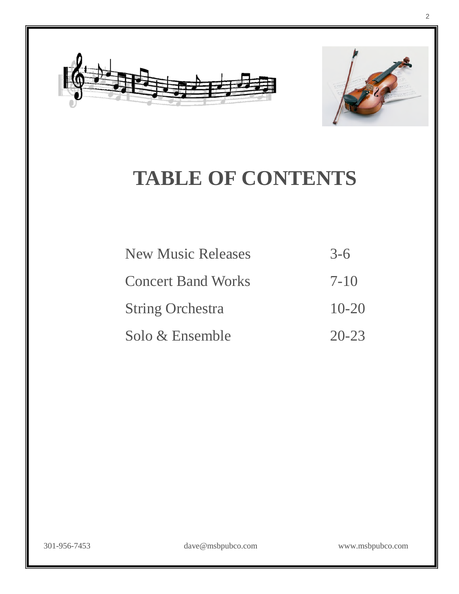



# **TABLE OF CONTENTS**

| <b>New Music Releases</b> | $3-6$     |
|---------------------------|-----------|
| <b>Concert Band Works</b> | $7 - 10$  |
| <b>String Orchestra</b>   | $10 - 20$ |
| Solo & Ensemble           | $20 - 23$ |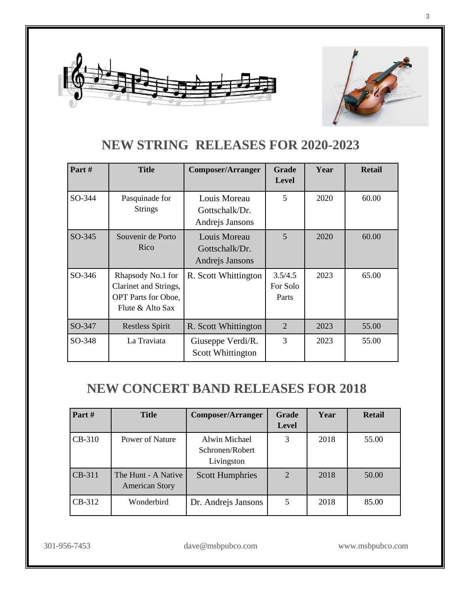



#### **NEW STRING RELEASES FOR 2020-2023**

| Part#  | <b>Title</b>                                                                                 | <b>Composer/Arranger</b>                          | Grade<br><b>Level</b>        | Year | <b>Retail</b> |
|--------|----------------------------------------------------------------------------------------------|---------------------------------------------------|------------------------------|------|---------------|
| SO-344 | Pasquinade for<br><b>Strings</b>                                                             | Louis Moreau<br>Gottschalk/Dr.<br>Andrejs Jansons | 5                            | 2020 | 60.00         |
| SO-345 | Souvenir de Porto<br>Rico                                                                    | Louis Moreau<br>Gottschalk/Dr.<br>Andrejs Jansons | 5                            | 2020 | 60.00         |
| SO-346 | Rhapsody No.1 for<br>Clarinet and Strings,<br><b>OPT</b> Parts for Oboe,<br>Flute & Alto Sax | R. Scott Whittington                              | 3.5/4.5<br>For Solo<br>Parts | 2023 | 65.00         |
| SO-347 | <b>Restless Spirit</b>                                                                       | R. Scott Whittington                              | $\overline{2}$               | 2023 | 55.00         |
| SO-348 | La Traviata                                                                                  | Giuseppe Verdi/R.<br>Scott Whittington            | 3                            | 2023 | 55.00         |

#### **NEW CONCERT BAND RELEASES FOR 2018**

| Part#    | <b>Title</b>                                 | <b>Composer/Arranger</b>                       | <b>Grade</b><br><b>Level</b> | Year | <b>Retail</b> |
|----------|----------------------------------------------|------------------------------------------------|------------------------------|------|---------------|
| $CB-310$ | Power of Nature                              | Alwin Michael<br>Schronen/Robert<br>Livingston | 3                            | 2018 | 55.00         |
| CB-311   | The Hunt - A Native<br><b>American Story</b> | <b>Scott Humphries</b>                         | $\mathcal{D}_{\cdot}$        | 2018 | 50.00         |
| $CB-312$ | Wonderbird                                   | Dr. Andrejs Jansons                            | 5                            | 2018 | 85.00         |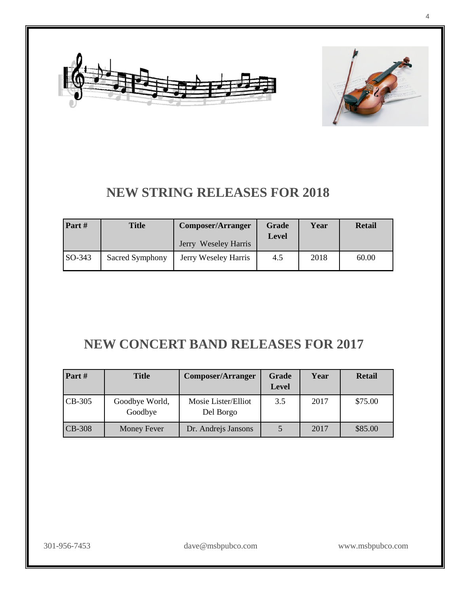



#### **NEW STRING RELEASES FOR 2018**

| Part#    | Title           | <b>Composer/Arranger</b> | Grade<br><b>Level</b> | Year | <b>Retail</b> |
|----------|-----------------|--------------------------|-----------------------|------|---------------|
|          |                 | Jerry Weseley Harris     |                       |      |               |
| $SO-343$ | Sacred Symphony | Jerry Weseley Harris     | 4.5                   | 2018 | 60.00         |

#### **NEW CONCERT BAND RELEASES FOR 2017**

| Part#    | <b>Title</b>              | <b>Composer/Arranger</b>         | <b>Grade</b><br><b>Level</b> | Year | <b>Retail</b> |
|----------|---------------------------|----------------------------------|------------------------------|------|---------------|
| CB-305   | Goodbye World,<br>Goodbye | Mosie Lister/Elliot<br>Del Borgo | 3.5                          | 2017 | \$75.00       |
| $CB-308$ | <b>Money Fever</b>        | Dr. Andrejs Jansons              |                              | 2017 | \$85.00       |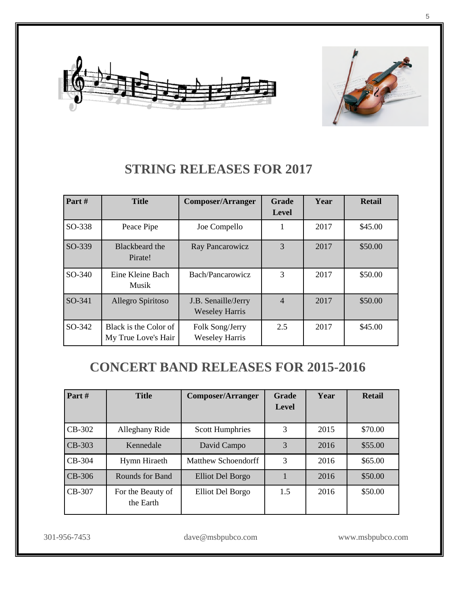



#### **STRING RELEASES FOR 2017**

| Part#  | <b>Title</b>                                 | <b>Composer/Arranger</b>                     | Grade<br>Level | Year | <b>Retail</b> |
|--------|----------------------------------------------|----------------------------------------------|----------------|------|---------------|
| SO-338 | Peace Pipe                                   | Joe Compello                                 | 1              | 2017 | \$45.00       |
| SO-339 | Blackbeard the<br>Pirate!                    | Ray Pancarowicz                              | 3              | 2017 | \$50.00       |
| SO-340 | Eine Kleine Bach<br>Musik                    | Bach/Pancarowicz                             | 3              | 2017 | \$50.00       |
| SO-341 | Allegro Spiritoso                            | J.B. Senaille/Jerry<br><b>Weseley Harris</b> | $\overline{4}$ | 2017 | \$50.00       |
| SO-342 | Black is the Color of<br>My True Love's Hair | Folk Song/Jerry<br><b>Weseley Harris</b>     | 2.5            | 2017 | \$45.00       |

#### **CONCERT BAND RELEASES FOR 2015-2016**

| Part $#$ | <b>Title</b>                   | <b>Composer/Arranger</b> | <b>Grade</b><br>Level | Year | <b>Retail</b> |
|----------|--------------------------------|--------------------------|-----------------------|------|---------------|
| $CB-302$ | Alleghany Ride                 | <b>Scott Humphries</b>   | 3                     | 2015 | \$70.00       |
| $CB-303$ | Kennedale                      | David Campo              | 3                     | 2016 | \$55.00       |
| $CB-304$ | Hymn Hiraeth                   | Matthew Schoendorff      | 3                     | 2016 | \$65.00       |
| $CB-306$ | Rounds for Band                | Elliot Del Borgo         |                       | 2016 | \$50.00       |
| $CB-307$ | For the Beauty of<br>the Earth | Elliot Del Borgo         | 1.5                   | 2016 | \$50.00       |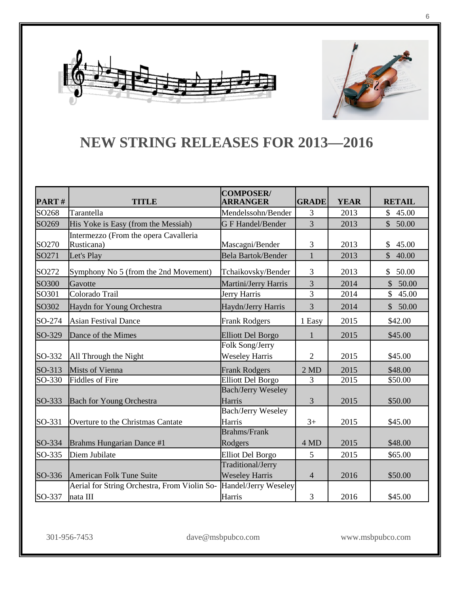



#### **NEW STRING RELEASES FOR 2013—2016**

| PART#             | <b>TITLE</b>                                             | <b>COMPOSER/</b><br><b>ARRANGER</b>        | <b>GRADE</b>   | <b>YEAR</b> | <b>RETAIL</b>                     |
|-------------------|----------------------------------------------------------|--------------------------------------------|----------------|-------------|-----------------------------------|
| SO <sub>268</sub> | Tarantella                                               | Mendelssohn/Bender                         | 3              | 2013        | \$45.00                           |
| SO <sub>269</sub> | His Yoke is Easy (from the Messiah)                      | <b>G F Handel/Bender</b>                   | 3              | 2013        | \$50.00                           |
| SO270             | Intermezzo (From the opera Cavalleria<br>Rusticana)      | Mascagni/Bender                            | 3              | 2013        | \$<br>45.00                       |
| SO271             | Let's Play                                               | <b>Bela Bartok/Bender</b>                  | 1              | 2013        | $\mathcal{S}$<br>40.00            |
| SO272             | Symphony No 5 (from the 2nd Movement)                    | Tchaikovsky/Bender                         | 3              | 2013        | \$50.00                           |
| SO300             | Gavotte                                                  | Martini/Jerry Harris                       | 3              | 2014        | $\mathbb{S}$<br>50.00             |
| SO301             | Colorado Trail                                           | Jerry Harris                               | $\overline{3}$ | 2014        | $\overline{\mathcal{S}}$<br>45.00 |
| SO302             | Haydn for Young Orchestra                                | Haydn/Jerry Harris                         | 3              | 2014        | $\mathbb{S}$<br>50.00             |
| SO-274            | <b>Asian Festival Dance</b>                              | <b>Frank Rodgers</b>                       | 1 Easy         | 2015        | \$42.00                           |
| SO-329            | Dance of the Mimes                                       | <b>Elliott Del Borgo</b>                   | 1              | 2015        | \$45.00                           |
| SO-332            | All Through the Night                                    | Folk Song/Jerry<br><b>Weseley Harris</b>   | $\overline{2}$ | 2015        | \$45.00                           |
| SO-313            | <b>Mists of Vienna</b>                                   | <b>Frank Rodgers</b>                       | $2 \text{ MD}$ | 2015        | \$48.00                           |
| SO-330            | <b>Fiddles of Fire</b>                                   | <b>Elliott Del Borgo</b>                   | 3              | 2015        | \$50.00                           |
| SO-333            | <b>Bach for Young Orchestra</b>                          | <b>Bach/Jerry Weseley</b><br>Harris        | 3              | 2015        | \$50.00                           |
| SO-331            | Overture to the Christmas Cantate                        | <b>Bach/Jerry Weseley</b><br>Harris        | $3+$           | 2015        | \$45.00                           |
| SO-334            | Brahms Hungarian Dance #1                                | <b>Brahms/Frank</b><br>Rodgers             | 4 MD           | 2015        | \$48.00                           |
| SO-335            | Diem Jubilate                                            | <b>Elliot Del Borgo</b>                    | 5              | 2015        | \$65.00                           |
| SO-336            | American Folk Tune Suite                                 | Traditional/Jerry<br><b>Weseley Harris</b> | $\overline{4}$ | 2016        | \$50.00                           |
| SO-337            | Aerial for String Orchestra, From Violin So-<br>nata III | Handel/Jerry Weseley<br>Harris             | 3              | 2016        | \$45.00                           |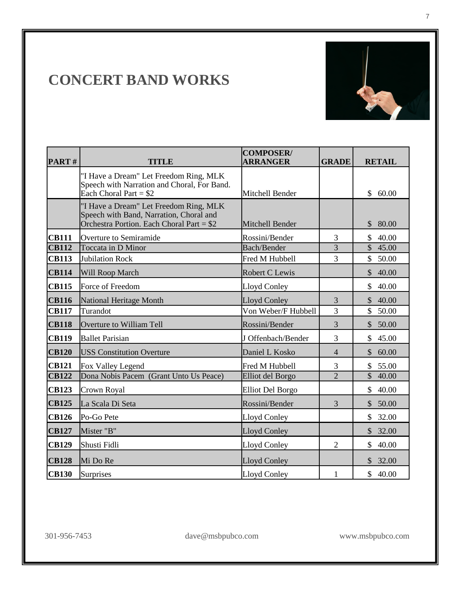

7

| PART#        | TITLE                                                                                                                           | <b>COMPOSER/</b><br>ARRANGER | <b>GRADE</b>   | <b>RETAIL</b>          |
|--------------|---------------------------------------------------------------------------------------------------------------------------------|------------------------------|----------------|------------------------|
|              | "I Have a Dream" Let Freedom Ring, MLK<br>Speech with Narration and Choral, For Band.<br>Each Choral Part = $$2$                | Mitchell Bender              |                | \$<br>60.00            |
|              | "I Have a Dream" Let Freedom Ring, MLK<br>Speech with Band, Narration, Choral and<br>Orchestra Portion. Each Choral Part = $$2$ | Mitchell Bender              |                | $\mathcal{S}$<br>80.00 |
| <b>CB111</b> | Overture to Semiramide                                                                                                          | Rossini/Bender               | 3              | 40.00<br>\$            |
| <b>CB112</b> | Toccata in D Minor                                                                                                              | <b>Bach/Bender</b>           | 3              | $\mathcal{S}$<br>45.00 |
| <b>CB113</b> | <b>Jubilation Rock</b>                                                                                                          | Fred M Hubbell               | 3              | \$<br>50.00            |
| <b>CB114</b> | Will Roop March                                                                                                                 | Robert C Lewis               |                | $\mathcal{S}$<br>40.00 |
| <b>CB115</b> | Force of Freedom                                                                                                                | Lloyd Conley                 |                | \$<br>40.00            |
| <b>CB116</b> | National Heritage Month                                                                                                         | Lloyd Conley                 | 3              | 40.00<br>\$            |
| <b>CB117</b> | Turandot                                                                                                                        | Von Weber/F Hubbell          | 3              | 50.00<br>$\mathbb{S}$  |
| <b>CB118</b> | Overture to William Tell                                                                                                        | Rossini/Bender               | 3              | 50.00<br>$\mathbb{S}$  |
| <b>CB119</b> | <b>Ballet Parisian</b>                                                                                                          | J Offenbach/Bender           | 3              | \$<br>45.00            |
| <b>CB120</b> | <b>USS Constitution Overture</b>                                                                                                | Daniel L Kosko               | $\overline{4}$ | \$<br>60.00            |
| <b>CB121</b> | Fox Valley Legend                                                                                                               | Fred M Hubbell               | 3              | 55.00<br>\$            |
| <b>CB122</b> | Dona Nobis Pacem (Grant Unto Us Peace)                                                                                          | <b>Elliot del Borgo</b>      | $\overline{2}$ | $\mathbb{S}$<br>40.00  |
| <b>CB123</b> | Crown Royal                                                                                                                     | <b>Elliot Del Borgo</b>      |                | \$<br>40.00            |
| <b>CB125</b> | La Scala Di Seta                                                                                                                | Rossini/Bender               | 3              | 50.00<br>$\mathcal{S}$ |
| <b>CB126</b> | Po-Go Pete                                                                                                                      | Lloyd Conley                 |                | 32.00<br>\$            |
| <b>CB127</b> | Mister "B"                                                                                                                      | <b>Lloyd Conley</b>          |                | $\mathcal{S}$<br>32.00 |
| <b>CB129</b> | Shusti Fidli                                                                                                                    | <b>Lloyd Conley</b>          | $\overline{2}$ | $\mathsf{\$}$<br>40.00 |
| <b>CB128</b> | Mi Do Re                                                                                                                        | <b>Lloyd Conley</b>          |                | \$32.00                |
| <b>CB130</b> | Surprises                                                                                                                       | <b>Lloyd Conley</b>          | $\mathbf{1}$   | \$40.00                |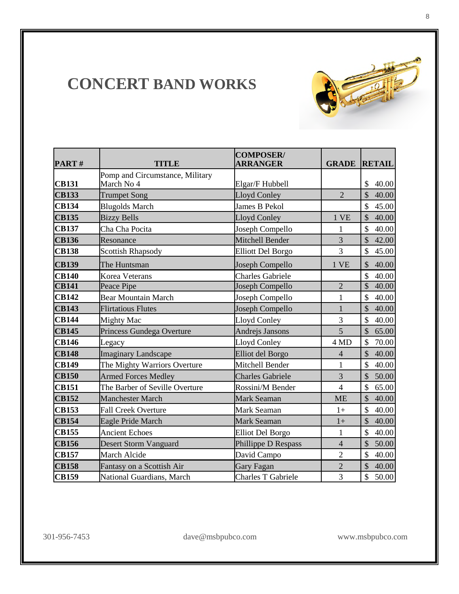

| PART#        | <b>TITLE</b>                    | <b>COMPOSER/</b><br><b>ARRANGER</b> | <b>GRADE</b>   | <b>RETAIL</b>                     |
|--------------|---------------------------------|-------------------------------------|----------------|-----------------------------------|
|              | Pomp and Circumstance, Military |                                     |                |                                   |
| <b>CB131</b> | March No 4                      | Elgar/F Hubbell                     |                | $\mathcal{S}$<br>40.00            |
| <b>CB133</b> | <b>Trumpet Song</b>             | Lloyd Conley                        | $\overline{2}$ | $\mathbb{S}$<br>40.00             |
| <b>CB134</b> | <b>Blugolds March</b>           | James B Pekol                       |                | \$<br>45.00                       |
| <b>CB135</b> | <b>Bizzy Bells</b>              | Lloyd Conley                        | 1 VE           | \$<br>40.00                       |
| <b>CB137</b> | Cha Cha Pocita                  | Joseph Compello                     | 1              | $\mathbb{S}$<br>40.00             |
| <b>CB136</b> | Resonance                       | Mitchell Bender                     | $\overline{3}$ | $\mathcal{S}$<br>42.00            |
| <b>CB138</b> | <b>Scottish Rhapsody</b>        | <b>Elliott Del Borgo</b>            | 3              | \$<br>45.00                       |
| <b>CB139</b> | The Huntsman                    | Joseph Compello                     | 1 VE           | 40.00<br>\$                       |
| <b>CB140</b> | Korea Veterans                  | <b>Charles Gabriele</b>             |                | $\hat{\mathcal{L}}$<br>40.00      |
| <b>CB141</b> | Peace Pipe                      | Joseph Compello                     | $\overline{2}$ | $\overline{\mathcal{S}}$<br>40.00 |
| <b>CB142</b> | <b>Bear Mountain March</b>      | Joseph Compello                     | $\mathbf{1}$   | $\mathcal{S}$<br>40.00            |
| <b>CB143</b> | <b>Flirtatious Flutes</b>       | Joseph Compello                     | $\mathbf{1}$   | $\mathbb{S}$<br>40.00             |
| <b>CB144</b> | <b>Mighty Mac</b>               | <b>Lloyd Conley</b>                 | 3              | \$<br>40.00                       |
| <b>CB145</b> | Princess Gundega Overture       | Andrejs Jansons                     | 5              | \$<br>65.00                       |
| <b>CB146</b> | Legacy                          | <b>Lloyd Conley</b>                 | 4 MD           | \$<br>70.00                       |
| <b>CB148</b> | <b>Imaginary Landscape</b>      | Elliot del Borgo                    | $\overline{4}$ | \$<br>40.00                       |
| <b>CB149</b> | The Mighty Warriors Overture    | Mitchell Bender                     | $\mathbf{1}$   | \$<br>40.00                       |
| <b>CB150</b> | <b>Armed Forces Medley</b>      | <b>Charles Gabriele</b>             | 3              | \$<br>50.00                       |
| <b>CB151</b> | The Barber of Seville Overture  | Rossini/M Bender                    | $\overline{4}$ | \$<br>65.00                       |
| <b>CB152</b> | <b>Manchester March</b>         | Mark Seaman                         | <b>ME</b>      | $\hat{S}$<br>40.00                |
| <b>CB153</b> | <b>Fall Creek Overture</b>      | Mark Seaman                         | $1+$           | \$<br>40.00                       |
| <b>CB154</b> | Eagle Pride March               | <b>Mark Seaman</b>                  | $1+$           | $\mathcal{S}$<br>40.00            |
| <b>CB155</b> | <b>Ancient Echoes</b>           | <b>Elliot Del Borgo</b>             | $\mathbf{1}$   | \$<br>40.00                       |
| <b>CB156</b> | Desert Storm Vanguard           | Phillippe D Respass                 | $\overline{4}$ | \$<br>50.00                       |
| <b>CB157</b> | March Alcide                    | David Campo                         | $\overline{2}$ | $\hat{\mathcal{L}}$<br>40.00      |
| <b>CB158</b> | Fantasy on a Scottish Air       | Gary Fagan                          | $\overline{c}$ | \$<br>40.00                       |
| <b>CB159</b> | National Guardians, March       | <b>Charles T Gabriele</b>           | 3              | \$<br>50.00                       |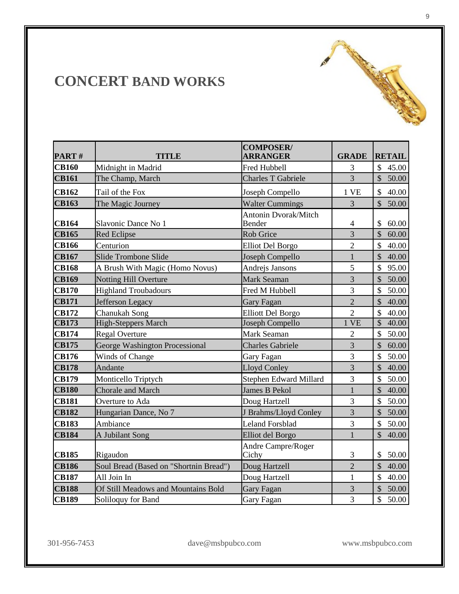| PART#        | <b>TITLE</b>                           | <b>COMPOSER/</b><br><b>ARRANGER</b> | <b>GRADE</b>   | <b>RETAIL</b>          |
|--------------|----------------------------------------|-------------------------------------|----------------|------------------------|
| <b>CB160</b> | Midnight in Madrid                     | Fred Hubbell                        | 3              | $\mathcal{S}$<br>45.00 |
| <b>CB161</b> | The Champ, March                       | <b>Charles T Gabriele</b>           | $\overline{3}$ | $\mathcal{S}$<br>50.00 |
| <b>CB162</b> | Tail of the Fox                        | Joseph Compello                     | 1 VE           | $\mathcal{S}$<br>40.00 |
| <b>CB163</b> | The Magic Journey                      | <b>Walter Cummings</b>              | $\overline{3}$ | $\mathcal{S}$<br>50.00 |
| <b>CB164</b> | Slavonic Dance No 1                    | Antonin Dvorak/Mitch<br>Bender      | $\overline{4}$ | \$<br>60.00            |
| <b>CB165</b> | <b>Red Eclipse</b>                     | <b>Rob Grice</b>                    | $\overline{3}$ | $\mathsf{\$}$<br>60.00 |
| <b>CB166</b> | Centurion                              | <b>Elliot Del Borgo</b>             | $\overline{2}$ | $\mathcal{S}$<br>40.00 |
| <b>CB167</b> | Slide Trombone Slide                   | Joseph Compello                     | $\mathbf{1}$   | $\mathcal{S}$<br>40.00 |
| <b>CB168</b> | A Brush With Magic (Homo Novus)        | Andrejs Jansons                     | 5              | \$<br>95.00            |
| <b>CB169</b> | <b>Notting Hill Overture</b>           | Mark Seaman                         | $\overline{3}$ | \$<br>50.00            |
| <b>CB170</b> | <b>Highland Troubadours</b>            | Fred M Hubbell                      | 3              | $\mathcal{S}$<br>50.00 |
| <b>CB171</b> | Jefferson Legacy                       | <b>Gary Fagan</b>                   | $\overline{2}$ | $\mathsf{\$}$<br>40.00 |
| <b>CB172</b> | Chanukah Song                          | <b>Elliott Del Borgo</b>            | $\overline{2}$ | $\mathcal{S}$<br>40.00 |
| <b>CB173</b> | <b>High-Steppers March</b>             | Joseph Compello                     | 1 VE           | $\mathcal{S}$<br>40.00 |
| <b>CB174</b> | <b>Regal Overture</b>                  | Mark Seaman                         | $\overline{2}$ | 50.00<br>$\mathcal{S}$ |
| <b>CB175</b> | George Washington Processional         | <b>Charles Gabriele</b>             | $\overline{3}$ | \$<br>60.00            |
| <b>CB176</b> | Winds of Change                        | Gary Fagan                          | 3              | \$<br>50.00            |
| <b>CB178</b> | Andante                                | <b>Lloyd Conley</b>                 | $\overline{3}$ | \$<br>40.00            |
| <b>CB179</b> | Monticello Triptych                    | Stephen Edward Millard              | 3              | $\mathcal{S}$<br>50.00 |
| <b>CB180</b> | Chorale and March                      | <b>James B Pekol</b>                | $\mathbf{1}$   | $\mathcal{S}$<br>40.00 |
| <b>CB181</b> | Overture to Ada                        | Doug Hartzell                       | 3              | 50.00<br>\$            |
| <b>CB182</b> | Hungarian Dance, No 7                  | J Brahms/Lloyd Conley               | 3              | \$<br>50.00            |
| <b>CB183</b> | Ambiance                               | <b>Leland Forsblad</b>              | 3              | $\mathcal{S}$<br>50.00 |
| <b>CB184</b> | A Jubilant Song                        | Elliot del Borgo                    | $\mathbf{1}$   | $\mathcal{S}$<br>40.00 |
| <b>CB185</b> | Rigaudon                               | Andre Campre/Roger<br>Cichy         | 3              | \$<br>50.00            |
| <b>CB186</b> | Soul Bread (Based on "Shortnin Bread") | Doug Hartzell                       | $\overline{2}$ | $\mathcal{S}$<br>40.00 |
| <b>CB187</b> | All Join In                            | Doug Hartzell                       | $\mathbf{1}$   | $\mathcal{S}$<br>40.00 |
| <b>CB188</b> | Of Still Meadows and Mountains Bold    | <b>Gary Fagan</b>                   | 3              | \$<br>50.00            |
| <b>CB189</b> | Soliloquy for Band                     | <b>Gary Fagan</b>                   | $\overline{3}$ | \$<br>50.00            |

**Carl Addison**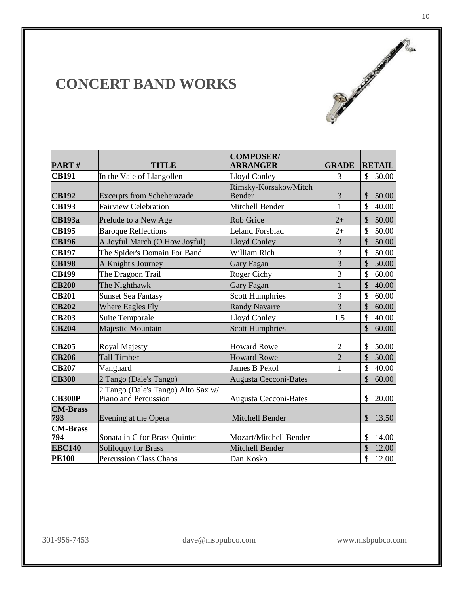| PART#                  | TITLE                                                      | <b>COMPOSER/</b><br>ARRANGER           | <b>GRADE</b>   | <b>RETAIL</b>          |
|------------------------|------------------------------------------------------------|----------------------------------------|----------------|------------------------|
| <b>CB191</b>           | In the Vale of Llangollen                                  | Lloyd Conley                           | 3              | $\mathbb{S}$<br>50.00  |
| <b>CB192</b>           | <b>Excerpts from Scheherazade</b>                          | Rimsky-Korsakov/Mitch<br><b>Bender</b> | 3              | $\mathcal{S}$<br>50.00 |
| <b>CB193</b>           | <b>Fairview Celebration</b>                                | Mitchell Bender                        | $\mathbf{1}$   | \$<br>40.00            |
| <b>CB193a</b>          | Prelude to a New Age                                       | <b>Rob Grice</b>                       | $2+$           | \$<br>50.00            |
| <b>CB195</b>           | <b>Baroque Reflections</b>                                 | <b>Leland Forsblad</b>                 | $2+$           | \$<br>50.00            |
| <b>CB196</b>           | A Joyful March (O How Joyful)                              | <b>Lloyd Conley</b>                    | 3              | \$<br>50.00            |
| <b>CB197</b>           | The Spider's Domain For Band                               | William Rich                           | 3              | \$<br>50.00            |
| <b>CB198</b>           | A Knight's Journey                                         | Gary Fagan                             | $\overline{3}$ | 50.00<br>$\mathcal{S}$ |
| <b>CB199</b>           | The Dragoon Trail                                          | Roger Cichy                            | 3              | \$<br>60.00            |
| <b>CB200</b>           | The Nighthawk                                              | Gary Fagan                             | $\mathbf{1}$   | \$<br>40.00            |
| <b>CB201</b>           | <b>Sunset Sea Fantasy</b>                                  | <b>Scott Humphries</b>                 | 3              | \$<br>60.00            |
| <b>CB202</b>           | <b>Where Eagles Fly</b>                                    | <b>Randy Navarre</b>                   | $\overline{3}$ | $\mathcal{S}$<br>60.00 |
| <b>CB203</b>           | Suite Temporale                                            | Lloyd Conley                           | 1.5            | \$<br>40.00            |
| <b>CB204</b>           | Majestic Mountain                                          | <b>Scott Humphries</b>                 |                | $\mathcal{S}$<br>60.00 |
| <b>CB205</b>           | <b>Royal Majesty</b>                                       | <b>Howard Rowe</b>                     | $\overline{2}$ | \$<br>50.00            |
| <b>CB206</b>           | <b>Tall Timber</b>                                         | <b>Howard Rowe</b>                     | $\overline{2}$ | $\mathcal{S}$<br>50.00 |
| <b>CB207</b>           | Vanguard                                                   | <b>James B Pekol</b>                   | 1              | \$<br>40.00            |
| <b>CB300</b>           | 2 Tango (Dale's Tango)                                     | <b>Augusta Cecconi-Bates</b>           |                | $\mathcal{S}$<br>60.00 |
| <b>CB300P</b>          | 2 Tango (Dale's Tango) Alto Sax w/<br>Piano and Percussion | <b>Augusta Cecconi-Bates</b>           |                | $\mathcal{S}$<br>20.00 |
| <b>CM-Brass</b><br>793 | Evening at the Opera                                       | Mitchell Bender                        |                | \$<br>13.50            |
| <b>CM-Brass</b><br>794 | Sonata in C for Brass Quintet                              | Mozart/Mitchell Bender                 |                | \$<br>14.00            |
| <b>EBC140</b>          | <b>Soliloquy for Brass</b>                                 | <b>Mitchell Bender</b>                 |                | \$<br>12.00            |
| <b>PE100</b>           | <b>Percussion Class Chaos</b>                              | Dan Kosko                              |                | \$<br>12.00            |

(50)

Processor of the contract of the contract of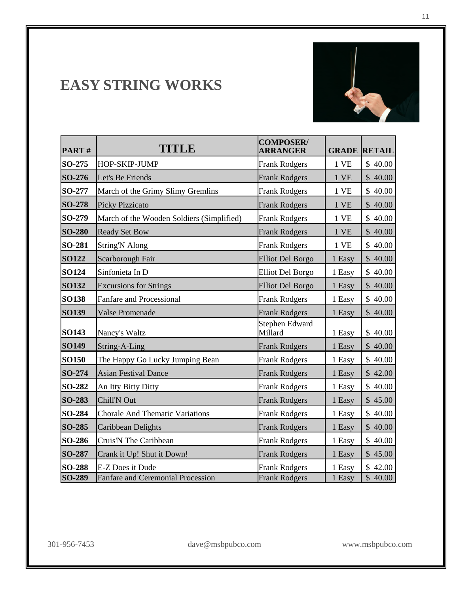# **EASY STRING WORKS**



| PART#         | <b>TITLE</b>                              | <b>COMPOSER/</b><br><b>ARRANGER</b> | <b>GRADE</b> | <b>RETAIL</b>         |
|---------------|-------------------------------------------|-------------------------------------|--------------|-----------------------|
| SO-275        | HOP-SKIP-JUMP                             | <b>Frank Rodgers</b>                | 1 VE         | \$40.00               |
| SO-276        | Let's Be Friends                          | <b>Frank Rodgers</b>                | 1 VE         | \$40.00               |
| SO-277        | March of the Grimy Slimy Gremlins         | <b>Frank Rodgers</b>                | 1 VE         | \$40.00               |
| SO-278        | <b>Picky Pizzicato</b>                    | <b>Frank Rodgers</b>                | 1 VE         | \$40.00               |
| SO-279        | March of the Wooden Soldiers (Simplified) | <b>Frank Rodgers</b>                | 1 VE         | \$40.00               |
| <b>SO-280</b> | <b>Ready Set Bow</b>                      | <b>Frank Rodgers</b>                | 1 VE         | $\mathbb{S}$<br>40.00 |
| <b>SO-281</b> | <b>String'N Along</b>                     | <b>Frank Rodgers</b>                | 1 VE         | \$40.00               |
| <b>SO122</b>  | Scarborough Fair                          | <b>Elliot Del Borgo</b>             | 1 Easy       | \$40.00               |
| SO124         | Sinfonieta In D                           | <b>Elliot Del Borgo</b>             | 1 Easy       | \$40.00               |
| <b>SO132</b>  | <b>Excursions for Strings</b>             | <b>Elliot Del Borgo</b>             | 1 Easy       | \$40.00               |
| <b>SO138</b>  | Fanfare and Processional                  | <b>Frank Rodgers</b>                | 1 Easy       | \$40.00               |
| SO139         | Valse Promenade                           | <b>Frank Rodgers</b>                | 1 Easy       | \$40.00               |
| <b>SO143</b>  | Nancy's Waltz                             | Stephen Edward<br>Millard           | 1 Easy       | \$40.00               |
| <b>SO149</b>  | String-A-Ling                             | <b>Frank Rodgers</b>                | 1 Easy       | \$40.00               |
| <b>SO150</b>  | The Happy Go Lucky Jumping Bean           | <b>Frank Rodgers</b>                | 1 Easy       | \$40.00               |
| SO-274        | <b>Asian Festival Dance</b>               | <b>Frank Rodgers</b>                | 1 Easy       | \$42.00               |
| <b>SO-282</b> | An Itty Bitty Ditty                       | <b>Frank Rodgers</b>                | 1 Easy       | \$40.00               |
| SO-283        | Chill'N Out                               | <b>Frank Rodgers</b>                | 1 Easy       | \$45.00               |
| <b>SO-284</b> | <b>Chorale And Thematic Variations</b>    | <b>Frank Rodgers</b>                | 1 Easy       | \$40.00               |
| SO-285        | Caribbean Delights                        | <b>Frank Rodgers</b>                | 1 Easy       | \$40.00               |
| SO-286        | Cruis'N The Caribbean                     | <b>Frank Rodgers</b>                | 1 Easy       | \$40.00               |
| SO-287        | Crank it Up! Shut it Down!                | <b>Frank Rodgers</b>                | 1 Easy       | \$45.00               |
| <b>SO-288</b> | E-Z Does it Dude                          | <b>Frank Rodgers</b>                | 1 Easy       | \$42.00               |
| SO-289        | <b>Fanfare and Ceremonial Procession</b>  | <b>Frank Rodgers</b>                | 1 Easy       | $\sqrt{$}40.00$       |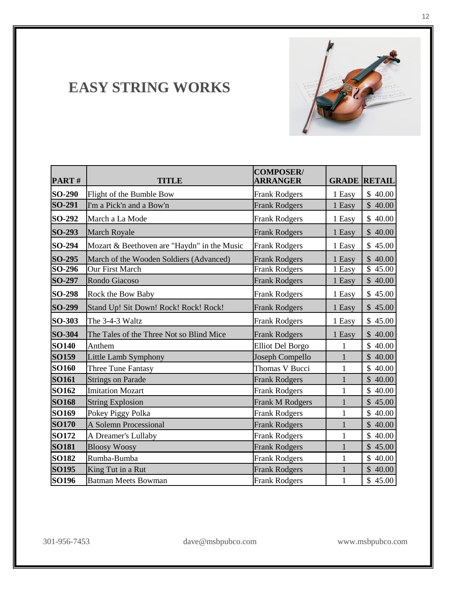### **EASY STRING WORKS**

| PART#            | <b>TITLE</b>                                                      | <b>COMPOSER/</b><br><b>ARRANGER</b>          |                  | <b>GRADE RETAIL</b>    |
|------------------|-------------------------------------------------------------------|----------------------------------------------|------------------|------------------------|
| SO-290           | Flight of the Bumble Bow                                          | <b>Frank Rodgers</b>                         | 1 Easy           | \$40.00                |
| SO-291           | I'm a Pick'n and a Bow'n                                          | <b>Frank Rodgers</b>                         | 1 Easy           | \$40.00                |
| SO-292           | March a La Mode                                                   | <b>Frank Rodgers</b>                         | 1 Easy           | \$40.00                |
| SO-293           | <b>March Royale</b>                                               | <b>Frank Rodgers</b>                         | 1 Easy           | \$40.00                |
| SO-294           | Mozart & Beethoven are "Haydn" in the Music                       | <b>Frank Rodgers</b>                         | 1 Easy           | \$45.00                |
| SO-295<br>SO-296 | March of the Wooden Soldiers (Advanced)<br><b>Our First March</b> | <b>Frank Rodgers</b><br><b>Frank Rodgers</b> | 1 Easy<br>1 Easy | \$40.00<br>\$<br>45.00 |
| SO-297           | Rondo Giacoso                                                     | <b>Frank Rodgers</b>                         | 1 Easy           | \$40.00                |
| SO-298           | Rock the Bow Baby                                                 | <b>Frank Rodgers</b>                         | 1 Easy           | \$45.00                |
| SO-299           | Stand Up! Sit Down! Rock! Rock! Rock!                             | <b>Frank Rodgers</b>                         | 1 Easy           | \$45.00                |
| SO-303           | The 3-4-3 Waltz                                                   | <b>Frank Rodgers</b>                         | 1 Easy           | \$45.00                |
| SO-304           | The Tales of the Three Not so Blind Mice                          | <b>Frank Rodgers</b>                         | 1 Easy           | \$40.00                |
| <b>SO140</b>     | Anthem                                                            | <b>Elliot Del Borgo</b>                      | $\mathbf{1}$     | $\mathbb{S}$<br>40.00  |
| SO159            | Little Lamb Symphony                                              | Joseph Compello                              | $\mathbf{1}$     | \$40.00                |
| <b>SO160</b>     | Three Tune Fantasy                                                | Thomas V Bucci                               | 1                | \$40.00                |
| SO161            | <b>Strings on Parade</b>                                          | <b>Frank Rodgers</b>                         | $\mathbf{1}$     | \$40.00                |
| SO162            | <b>Imitation Mozart</b>                                           | <b>Frank Rodgers</b>                         | $\mathbf{1}$     | \$40.00                |
| <b>SO168</b>     | <b>String Explosion</b>                                           | <b>Frank M Rodgers</b>                       | $\mathbf{1}$     | \$45.00                |
| SO169            | Pokey Piggy Polka                                                 | <b>Frank Rodgers</b>                         | $\mathbf 1$      | \$40.00                |
| <b>SO170</b>     | <b>A Solemn Processional</b>                                      | <b>Frank Rodgers</b>                         | $\mathbf{1}$     | \$40.00                |
| SO172            | A Dreamer's Lullaby                                               | <b>Frank Rodgers</b>                         | 1                | \$<br>40.00            |
| <b>SO181</b>     | <b>Bloosy Woosy</b>                                               | <b>Frank Rodgers</b>                         | $\mathbf{1}$     | \$45.00                |
| <b>SO182</b>     | Rumba-Bumba                                                       | <b>Frank Rodgers</b>                         | 1                | \$<br>40.00            |
| <b>SO195</b>     | King Tut in a Rut                                                 | <b>Frank Rodgers</b>                         | 1                | \$40.00                |
| SO196            | <b>Batman Meets Bowman</b>                                        | <b>Frank Rodgers</b>                         | 1                | \$45.00                |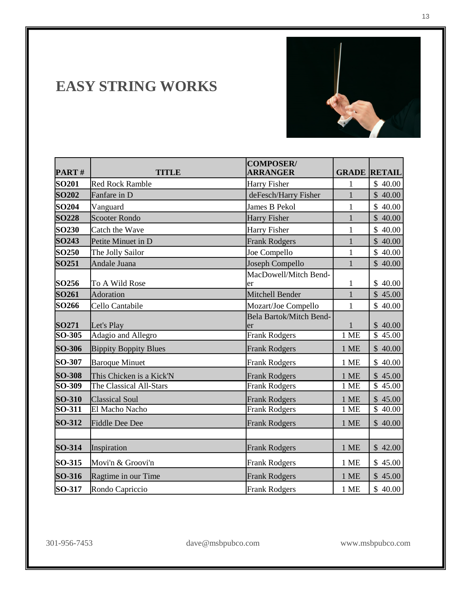#### **EASY STRING WORKS**

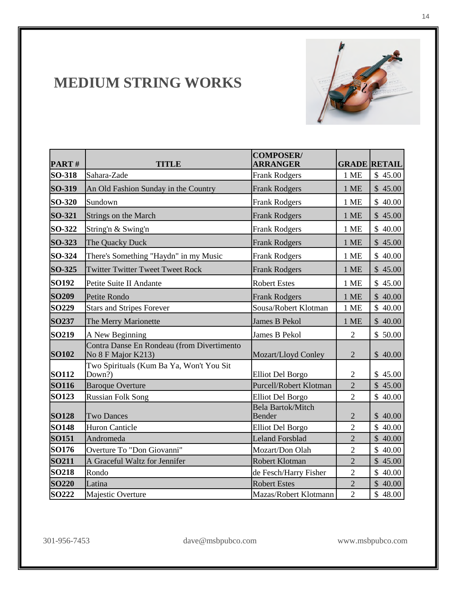

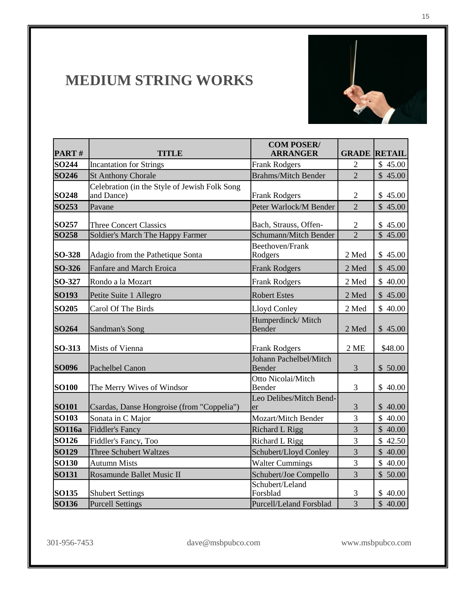

| PART#             | <b>TITLE</b>                                                | <b>COM POSER/</b><br><b>ARRANGER</b> |                | <b>GRADE RETAIL</b>  |
|-------------------|-------------------------------------------------------------|--------------------------------------|----------------|----------------------|
| <b>SO244</b>      | <b>Incantation for Strings</b>                              | <b>Frank Rodgers</b>                 | 2              | \$45.00              |
| <b>SO246</b>      | <b>St Anthony Chorale</b>                                   | <b>Brahms/Mitch Bender</b>           | $\overline{2}$ | \$45.00              |
| <b>SO248</b>      | Celebration (in the Style of Jewish Folk Song<br>and Dance) | <b>Frank Rodgers</b>                 | $\overline{2}$ | \$45.00              |
| SO253             | Pavane                                                      | Peter Warlock/M Bender               | $\overline{2}$ | \$45.00              |
| SO257             | <b>Three Concert Classics</b>                               | Bach, Strauss, Offen-                | $\mathbf{2}$   | \$45.00              |
| <b>SO258</b>      | Soldier's March The Happy Farmer                            | Schumann/Mitch Bender                | $\overline{2}$ | $\overline{$}$ 45.00 |
| SO-328            | Adagio from the Pathetique Sonta                            | Beethoven/Frank<br>Rodgers           | 2 Med          | \$45.00              |
| SO-326            | Fanfare and March Eroica                                    | <b>Frank Rodgers</b>                 | 2 Med          | \$45.00              |
| SO-327            | Rondo a la Mozart                                           | <b>Frank Rodgers</b>                 | 2 Med          | \$40.00              |
| SO193             | Petite Suite 1 Allegro                                      | <b>Robert Estes</b>                  | 2 Med          | \$45.00              |
| <b>SO205</b>      | Carol Of The Birds                                          | Lloyd Conley                         | 2 Med          | \$40.00              |
| SO <sub>264</sub> | Sandman's Song                                              | Humperdinck/Mitch<br>Bender          | 2 Med          | \$45.00              |
| SO-313            | <b>Mists of Vienna</b>                                      | <b>Frank Rodgers</b>                 | 2ME            | \$48.00              |
| <b>SO096</b>      | Pachelbel Canon                                             | Johann Pachelbel/Mitch<br>Bender     | 3              | \$50.00              |
| <b>SO100</b>      | The Merry Wives of Windsor                                  | Otto Nicolai/Mitch<br>Bender         | 3              | \$40.00              |
| <b>SO101</b>      | Csardas, Danse Hongroise (from "Coppelia")                  | Leo Delibes/Mitch Bend-<br>er        | $\mathfrak{Z}$ | \$40.00              |
| <b>SO103</b>      | Sonata in C Major                                           | <b>Mozart/Mitch Bender</b>           | 3              | \$40.00              |
| <b>SO116a</b>     | <b>Fiddler's Fancy</b>                                      | <b>Richard L Rigg</b>                | $\overline{3}$ | \$40.00              |
| SO126             | Fiddler's Fancy, Too                                        | 3<br><b>Richard L Rigg</b>           |                | \$42.50              |
| SO129             | Three Schubert Waltzes                                      | Schubert/Lloyd Conley                | $\overline{3}$ | \$40.00              |
| <b>SO130</b>      | <b>Autumn Mists</b>                                         | <b>Walter Cummings</b><br>3          |                | \$40.00              |
| <b>SO131</b>      | Rosamunde Ballet Music II                                   | Schubert/Joe Compello                | 3              | \$50.00              |
| SO135             | <b>Shubert Settings</b>                                     | Schubert/Leland<br>Forsblad          | 3              | \$40.00              |
| <b>SO136</b>      | <b>Purcell Settings</b>                                     | Purcell/Leland Forsblad              | $\overline{3}$ | \$40.00              |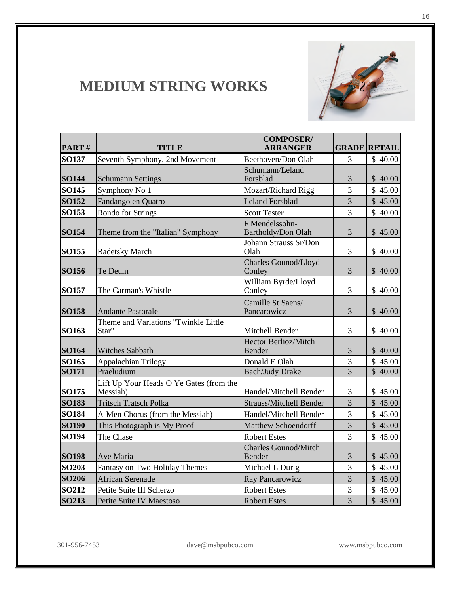

| PART#        | <b>TITLE</b>                                        | <b>COMPOSER/</b><br><b>ARRANGER</b>   |                | <b>GRADE RETAIL</b> |
|--------------|-----------------------------------------------------|---------------------------------------|----------------|---------------------|
| <b>SO137</b> | Seventh Symphony, 2nd Movement                      | Beethoven/Don Olah                    | 3              | \$40.00             |
| <b>SO144</b> | <b>Schumann Settings</b>                            | Schumann/Leland<br>Forsblad           | 3              | \$40.00             |
| <b>SO145</b> | Symphony No 1                                       | Mozart/Richard Rigg                   | $\overline{3}$ | \$45.00             |
| <b>SO152</b> | Fandango en Quatro                                  | <b>Leland Forsblad</b>                | $\overline{3}$ | \$45.00             |
| SO153        | Rondo for Strings                                   | <b>Scott Tester</b>                   | $\overline{3}$ | \$40.00             |
| <b>SO154</b> | Theme from the "Italian" Symphony                   | F Mendelssohn-<br>Bartholdy/Don Olah  | 3              | \$45.00             |
| <b>SO155</b> | Radetsky March                                      | Johann Strauss Sr/Don<br>Olah         | 3              | \$40.00             |
| <b>SO156</b> | Te Deum                                             | Charles Gounod/Lloyd<br>Conley        | 3              | \$40.00             |
| <b>SO157</b> | The Carman's Whistle                                | William Byrde/Lloyd<br>Conley         | 3              | \$40.00             |
| <b>SO158</b> | <b>Andante Pastorale</b>                            | Camille St Saens/<br>Pancarowicz      | 3              | \$40.00             |
| SO163        | Theme and Variations "Twinkle Little<br>Star"       | Mitchell Bender                       | 3              | \$40.00             |
| <b>SO164</b> | <b>Witches Sabbath</b>                              | <b>Hector Berlioz/Mitch</b><br>Bender | $\mathfrak{Z}$ | \$40.00             |
| <b>SO165</b> | Appalachian Trilogy                                 | Donald E Olah                         | $\overline{3}$ | \$45.00             |
| SO171        | Praeludium                                          | <b>Bach/Judy Drake</b>                | $\overline{3}$ | $\overline{$}40.00$ |
| SO175        | Lift Up Your Heads O Ye Gates (from the<br>Messiah) | Handel/Mitchell Bender                | 3              | \$45.00             |
| <b>SO183</b> | <b>Tritsch Tratsch Polka</b>                        | <b>Strauss/Mitchell Bender</b>        | $\overline{3}$ | \$45.00             |
| <b>SO184</b> | A-Men Chorus (from the Messiah)                     | Handel/Mitchell Bender                | $\overline{3}$ | \$45.00             |
| <b>SO190</b> | This Photograph is My Proof                         | <b>Matthew Schoendorff</b>            | $\overline{3}$ | \$45.00             |
| SO194        | The Chase                                           | <b>Robert Estes</b>                   | $\overline{3}$ | \$45.00             |
| <b>SO198</b> | Ave Maria                                           | <b>Charles Gounod/Mitch</b><br>Bender | 3              | \$45.00             |
| <b>SO203</b> | Fantasy on Two Holiday Themes                       | Michael L Durig                       | $\overline{3}$ | \$45.00             |
| <b>SO206</b> | <b>African Serenade</b>                             | Ray Pancarowicz                       | $\overline{3}$ | \$45.00             |
| <b>SO212</b> | Petite Suite III Scherzo                            | <b>Robert Estes</b>                   | 3              | \$45.00             |
| SO213        | Petite Suite IV Maestoso                            | <b>Robert Estes</b>                   | $\overline{3}$ | \$45.00             |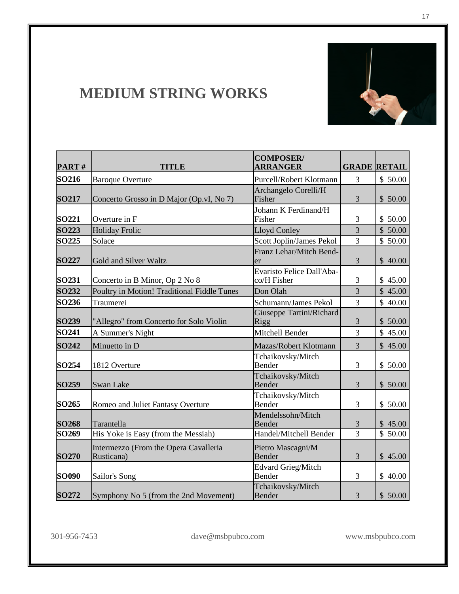

| PART#             | <b>TITLE</b>                                        | <b>COMPOSER/</b><br><b>ARRANGER</b>      |                | <b>GRADE RETAIL</b> |
|-------------------|-----------------------------------------------------|------------------------------------------|----------------|---------------------|
| SO216             | <b>Baroque Overture</b>                             | Purcell/Robert Klotmann                  | 3              | \$50.00             |
| <b>SO217</b>      | Concerto Grosso in D Major (Op.vI, No 7)            | Archangelo Corelli/H<br>Fisher           | 3              | \$50.00             |
| SO221             | Overture in F                                       | Johann K Ferdinand/H<br>Fisher           | 3              | \$50.00             |
| <b>SO223</b>      | <b>Holiday Frolic</b>                               | <b>Lloyd Conley</b>                      | 3              | \$50.00             |
| <b>SO225</b>      | Solace                                              | Scott Joplin/James Pekol                 | 3              | \$50.00             |
| <b>SO227</b>      | Gold and Silver Waltz                               | Franz Lehar/Mitch Bend-<br>er            | 3              | \$40.00             |
| SO231             | Concerto in B Minor, Op 2 No 8                      | Evaristo Felice Dall'Aba-<br>co/H Fisher | 3              | \$45.00             |
| SO232             | Poultry in Motion! Traditional Fiddle Tunes         | Don Olah                                 | 3              | \$45.00             |
| SO236             | Traumerei                                           | Schumann/James Pekol                     | 3              | \$40.00             |
| SO239             | "Allegro" from Concerto for Solo Violin             | Giuseppe Tartini/Richard<br>Rigg         | 3              | \$50.00             |
| SO241             | A Summer's Night                                    | Mitchell Bender                          | 3              | \$45.00             |
| <b>SO242</b>      | Minuetto in D                                       | Mazas/Robert Klotmann                    | 3              | \$45.00             |
| SO254             | 1812 Overture                                       | Tchaikovsky/Mitch<br>Bender              | 3              | \$50.00             |
| SO259             | Swan Lake                                           | Tchaikovsky/Mitch<br>Bender              | 3              | \$50.00             |
| SO <sub>265</sub> | Romeo and Juliet Fantasy Overture                   | Tchaikovsky/Mitch<br>Bender              | 3              | \$50.00             |
| <b>SO268</b>      | Tarantella                                          | Mendelssohn/Mitch<br>Bender              | $\mathfrak{Z}$ | \$45.00             |
| SO <sub>269</sub> | His Yoke is Easy (from the Messiah)                 | Handel/Mitchell Bender                   | $\overline{3}$ | \$50.00             |
| <b>SO270</b>      | Intermezzo (From the Opera Cavalleria<br>Rusticana) | Pietro Mascagni/M<br>Bender              | 3              | \$45.00             |
| <b>SO090</b>      | Sailor's Song                                       | <b>Edvard Grieg/Mitch</b><br>Bender      | 3              | \$40.00             |
| SO272             | Symphony No 5 (from the 2nd Movement)               | Tchaikovsky/Mitch<br>Bender              | 3              | \$50.00             |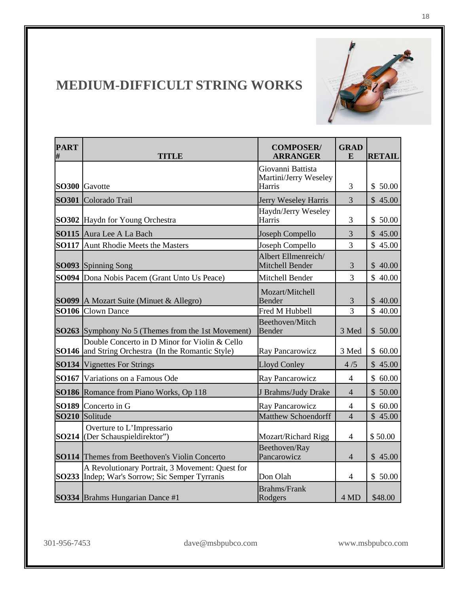

#### **MEDIUM-DIFFICULT STRING WORKS**

| <b>PART</b><br># | <b>TITLE</b>                                                                                               | <b>GRAD</b><br><b>COMPOSER/</b><br><b>ARRANGER</b><br>E |                | <b>RETAIL</b>         |
|------------------|------------------------------------------------------------------------------------------------------------|---------------------------------------------------------|----------------|-----------------------|
|                  | SO300 Gavotte                                                                                              | Giovanni Battista<br>Martini/Jerry Weseley<br>Harris    | 3              | \$50.00               |
|                  | SO301 Colorado Trail                                                                                       | Jerry Weseley Harris                                    | 3              | \$45.00               |
|                  | <b>SO302</b> Haydn for Young Orchestra                                                                     | Haydn/Jerry Weseley<br>Harris                           | 3              | \$50.00               |
|                  | <b>SO115</b> Aura Lee A La Bach                                                                            | Joseph Compello                                         | 3              | \$45.00               |
|                  | <b>SO117</b> Aunt Rhodie Meets the Masters                                                                 | Joseph Compello                                         | 3              | \$45.00               |
|                  | SO093 Spinning Song                                                                                        | Albert Ellmenreich/<br>Mitchell Bender                  | 3              | \$40.00               |
|                  | <b>SO094</b> Dona Nobis Pacem (Grant Unto Us Peace)                                                        | Mitchell Bender                                         | 3              | \$40.00               |
|                  | <b>SO099</b> A Mozart Suite (Minuet & Allegro)                                                             | Mozart/Mitchell<br><b>Bender</b>                        | $\mathfrak{Z}$ | \$40.00               |
|                  | <b>SO106</b> Clown Dance                                                                                   | Fred M Hubbell                                          | 3              | \$40.00               |
|                  | <b>SO263</b> Symphony No 5 (Themes from the 1st Movement)                                                  | Beethoven/Mitch<br><b>Bender</b>                        | 3 Med          | \$50.00               |
|                  | Double Concerto in D Minor for Violin & Cello<br><b>SO146</b> and String Orchestra (In the Romantic Style) | Ray Pancarowicz                                         | 3 Med          | \$60.00               |
|                  | <b>SO134</b> Vignettes For Strings                                                                         | <b>Lloyd Conley</b>                                     | 4/5            | \$45.00               |
|                  | <b>SO167</b> Variations on a Famous Ode                                                                    | Ray Pancarowicz                                         | 4              | \$60.00               |
|                  | SO186 Romance from Piano Works, Op 118                                                                     | J Brahms/Judy Drake                                     | $\overline{4}$ | \$50.00               |
|                  | SO189 Concerto in G                                                                                        | Ray Pancarowicz                                         | 4              | \$60.00               |
|                  | SO210 Solitude                                                                                             | <b>Matthew Schoendorff</b>                              | $\overline{4}$ | $\overline{\$}$ 45.00 |
|                  | Overture to L'Impressario<br><b>SO214</b> (Der Schauspieldirektor")                                        | <b>Mozart/Richard Rigg</b>                              | $\overline{4}$ | \$50.00               |
|                  | <b>SO114</b> Themes from Beethoven's Violin Concerto                                                       | Beethoven/Ray<br>Pancarowicz                            | $\overline{4}$ | \$45.00               |
|                  | A Revolutionary Portrait, 3 Movement: Quest for<br>SO233 Indep; War's Sorrow; Sic Semper Tyrranis          | Don Olah                                                | 4              | \$50.00               |
|                  | SO334 Brahms Hungarian Dance #1                                                                            | <b>Brahms/Frank</b><br>Rodgers                          | 4 MD           | \$48.00               |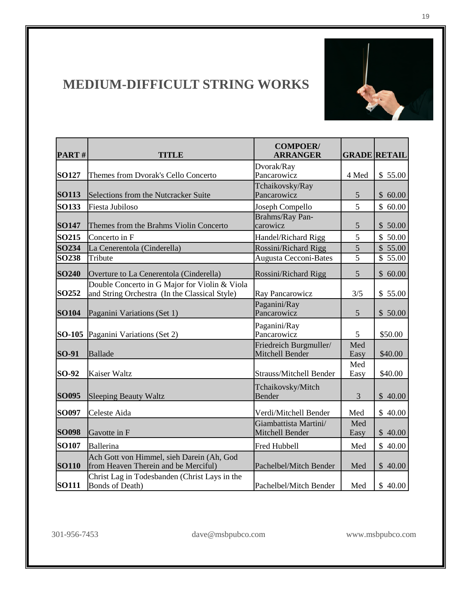

#### **MEDIUM-DIFFICULT STRING WORKS**

| PART#         | <b>TITLE</b>                                                                                   | <b>COMPOER/</b><br><b>ARRANGER</b>        |             | <b>GRADE RETAIL</b> |  |
|---------------|------------------------------------------------------------------------------------------------|-------------------------------------------|-------------|---------------------|--|
| <b>SO127</b>  | Themes from Dvorak's Cello Concerto                                                            | Dvorak/Ray<br>Pancarowicz                 | 4 Med       | \$55.00             |  |
|               |                                                                                                | Tchaikovsky/Ray                           |             |                     |  |
| <b>SO113</b>  | Selections from the Nutcracker Suite                                                           | Pancarowicz                               | 5           | \$60.00             |  |
| <b>SO133</b>  | Fiesta Jubiloso                                                                                | Joseph Compello                           | 5           | \$60.00             |  |
| <b>SO147</b>  | Themes from the Brahms Violin Concerto                                                         | Brahms/Ray Pan-<br>carowicz               | 5           | \$50.00             |  |
| SO215         | Concerto in F                                                                                  | Handel/Richard Rigg                       | 5           | \$50.00             |  |
| SO234         | La Cenerentola (Cinderella)                                                                    | Rossini/Richard Rigg                      | 5           | \$55.00             |  |
| <b>SO238</b>  | Tribute                                                                                        | Augusta Cecconi-Bates                     | 5           | \$55.00             |  |
| <b>SO240</b>  | Overture to La Cenerentola (Cinderella)                                                        | Rossini/Richard Rigg                      | 5           | \$60.00             |  |
| SO252         | Double Concerto in G Major for Violin & Viola<br>and String Orchestra (In the Classical Style) | Ray Pancarowicz                           | 3/5         | \$55.00             |  |
| <b>SO104</b>  | Paganini Variations (Set 1)                                                                    | Paganini/Ray<br>Pancarowicz               | 5           | \$50.00             |  |
| <b>SO-105</b> | Paganini Variations (Set 2)                                                                    | Paganini/Ray<br>Pancarowicz               | 5           | \$50.00             |  |
| SO-91         | <b>Ballade</b>                                                                                 | Friedreich Burgmuller/<br>Mitchell Bender | Med<br>Easy | \$40.00             |  |
| SO-92         | <b>Kaiser Waltz</b>                                                                            | <b>Strauss/Mitchell Bender</b>            | Med<br>Easy | \$40.00             |  |
| <b>SO095</b>  | <b>Sleeping Beauty Waltz</b>                                                                   | Tchaikovsky/Mitch<br>Bender               | 3           | \$40.00             |  |
| SO097         | Celeste Aida                                                                                   | Verdi/Mitchell Bender                     | Med         | \$40.00             |  |
| <b>SO098</b>  | Gavotte in F                                                                                   | Giambattista Martini/<br>Mitchell Bender  | Med<br>Easy | \$40.00             |  |
| <b>SO107</b>  | Ballerina                                                                                      | <b>Fred Hubbell</b>                       | Med         | \$40.00             |  |
| <b>SO110</b>  | Ach Gott von Himmel, sieh Darein (Ah, God<br>from Heaven Therein and be Merciful)              | Pachelbel/Mitch Bender                    | Med         | \$40.00             |  |
| <b>SO111</b>  | Christ Lag in Todesbanden (Christ Lays in the<br><b>Bonds of Death)</b>                        | Pachelbel/Mitch Bender                    | Med         | \$40.00             |  |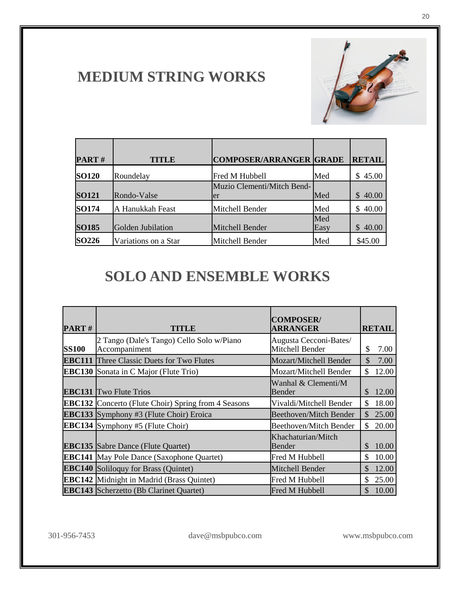

| PART#             | <b>TITLE</b>         | <b>COMPOSER/ARRANGER GRADE</b>   |             | <b>RETAIL</b> |
|-------------------|----------------------|----------------------------------|-------------|---------------|
| <b>SO120</b>      | Roundelay            | Fred M Hubbell                   | Med         | 45.00<br>S.   |
| <b>SO121</b>      | Rondo-Valse          | Muzio Clementi/Mitch Bend-<br>er | Med         | \$40.00       |
| SO174             | A Hanukkah Feast     | Mitchell Bender                  | Med         | 40.00<br>\$.  |
| <b>SO185</b>      | Golden Jubilation    | Mitchell Bender                  | Med<br>Easy | 40.00<br>S    |
| SO <sub>226</sub> | Variations on a Star | Mitchell Bender                  | Med         | \$45.00       |

| <b>PART#</b> | TITLE                                                      | <b>COMPOSER/</b><br><b>ARRANGER</b>       | <b>RETAIL</b>          |
|--------------|------------------------------------------------------------|-------------------------------------------|------------------------|
| <b>SS100</b> | 2 Tango (Dale's Tango) Cello Solo w/Piano<br>Accompaniment | Augusta Cecconi-Bates/<br>Mitchell Bender | \$<br>7.00             |
|              | <b>EBC111</b> Three Classic Duets for Two Flutes           | Mozart/Mitchell Bender                    | \$<br>7.00             |
|              | <b>EBC130</b> Sonata in C Major (Flute Trio)               | Mozart/Mitchell Bender                    | \$<br>12.00            |
|              | <b>EBC131</b> Two Flute Trios                              | Wanhal & Clementi/M<br>Bender             | \$<br>12.00            |
|              | <b>EBC132</b> Concerto (Flute Choir) Spring from 4 Seasons | Vivaldi/Mitchell Bender                   | \$<br>18.00            |
|              | <b>EBC133</b> Symphony #3 (Flute Choir) Eroica             | Beethoven/Mitch Bender                    | $\mathcal{S}$<br>25.00 |
|              | <b>EBC134</b> Symphony #5 (Flute Choir)                    | <b>Beethoven/Mitch Bender</b>             | 20.00<br>\$            |
|              | <b>EBC135</b> Sabre Dance (Flute Quartet)                  | Khachaturian/Mitch<br>Bender              | 10.00<br>\$            |
|              | <b>EBC141</b> May Pole Dance (Saxophone Quartet)           | Fred M Hubbell                            | \$.<br>10.00           |
|              | <b>EBC140</b> Soliloquy for Brass (Quintet)                | Mitchell Bender                           | \$<br>12.00            |
|              | <b>EBC142</b> Midnight in Madrid (Brass Quintet)           | Fred M Hubbell                            | \$<br>25.00            |
|              | <b>EBC143</b> Scherzetto (Bb Clarinet Quartet)             | Fred M Hubbell                            | $\mathcal{S}$<br>10.00 |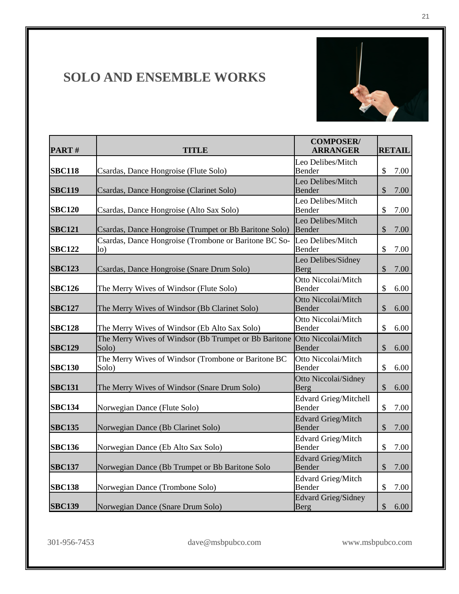

| PART#         | <b>TITLE</b>                                                            | <b>COMPOSER/</b><br><b>ARRANGER</b>    | <b>RETAIL</b>                     |
|---------------|-------------------------------------------------------------------------|----------------------------------------|-----------------------------------|
| <b>SBC118</b> | Csardas, Dance Hongroise (Flute Solo)                                   | Leo Delibes/Mitch<br>Bender            | $\mathcal{S}$<br>7.00             |
| <b>SBC119</b> | Csardas, Dance Hongroise (Clarinet Solo)                                | Leo Delibes/Mitch<br>Bender            | \$<br>7.00                        |
| <b>SBC120</b> | Csardas, Dance Hongroise (Alto Sax Solo)                                | Leo Delibes/Mitch<br>Bender            | \$<br>7.00                        |
| <b>SBC121</b> | Csardas, Dance Hongroise (Trumpet or Bb Baritone Solo)                  | Leo Delibes/Mitch<br>Bender            | \$<br>7.00                        |
| <b>SBC122</b> | Csardas, Dance Hongroise (Trombone or Baritone BC So-<br>1 <sub>0</sub> | Leo Delibes/Mitch<br>Bender            | \$<br>7.00                        |
| <b>SBC123</b> | Csardas, Dance Hongroise (Snare Drum Solo)                              | Leo Delibes/Sidney<br>Berg             | $\$\$<br>7.00                     |
| <b>SBC126</b> | The Merry Wives of Windsor (Flute Solo)                                 | Otto Niccolai/Mitch<br>Bender          | \$<br>6.00                        |
| <b>SBC127</b> | The Merry Wives of Windsor (Bb Clarinet Solo)                           | Otto Niccolai/Mitch<br><b>Bender</b>   | $\mathcal{S}$<br>6.00             |
| <b>SBC128</b> | The Merry Wives of Windsor (Eb Alto Sax Solo)                           | Otto Niccolai/Mitch<br>Bender          | \$<br>6.00                        |
| <b>SBC129</b> | The Merry Wives of Windsor (Bb Trumpet or Bb Baritone<br>Solo)          | Otto Niccolai/Mitch<br>Bender          | \$<br>6.00                        |
| <b>SBC130</b> | The Merry Wives of Windsor (Trombone or Baritone BC<br>Solo)            | Otto Niccolai/Mitch<br>Bender          | \$<br>6.00                        |
| <b>SBC131</b> | The Merry Wives of Windsor (Snare Drum Solo)                            | Otto Niccolai/Sidney<br>Berg           | $\$\$<br>6.00                     |
| <b>SBC134</b> | Norwegian Dance (Flute Solo)                                            | <b>Edvard Grieg/Mitchell</b><br>Bender | $\mathcal{S}$<br>7.00             |
| <b>SBC135</b> | Norwegian Dance (Bb Clarinet Solo)                                      | <b>Edvard Grieg/Mitch</b><br>Bender    | $\mathcal{S}$<br>7.00             |
| <b>SBC136</b> | Norwegian Dance (Eb Alto Sax Solo)                                      | <b>Edvard Grieg/Mitch</b><br>Bender    | \$<br>7.00                        |
| <b>SBC137</b> | Norwegian Dance (Bb Trumpet or Bb Baritone Solo                         | <b>Edvard Grieg/Mitch</b><br>Bender    | $\boldsymbol{\mathsf{S}}$<br>7.00 |
| <b>SBC138</b> | Norwegian Dance (Trombone Solo)                                         | <b>Edvard Grieg/Mitch</b><br>Bender    | \$<br>7.00                        |
| <b>SBC139</b> | Norwegian Dance (Snare Drum Solo)                                       | <b>Edvard Grieg/Sidney</b><br>Berg     | \$<br>6.00                        |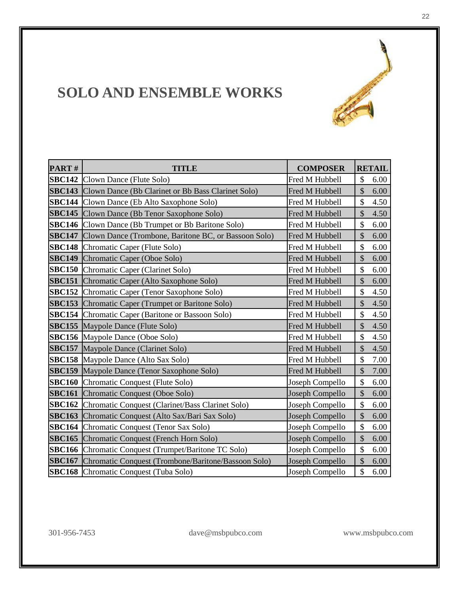

| PART# | <b>TITLE</b>                                                     | <b>COMPOSER</b> |                           | <b>RETAIL</b> |
|-------|------------------------------------------------------------------|-----------------|---------------------------|---------------|
|       | <b>SBC142</b> Clown Dance (Flute Solo)                           | Fred M Hubbell  | $\mathcal{S}$             | 6.00          |
|       | <b>SBC143</b> Clown Dance (Bb Clarinet or Bb Bass Clarinet Solo) | Fred M Hubbell  | \$                        | 6.00          |
|       | <b>SBC144</b> Clown Dance (Eb Alto Saxophone Solo)               | Fred M Hubbell  | \$                        | 4.50          |
|       | <b>SBC145</b> Clown Dance (Bb Tenor Saxophone Solo)              | Fred M Hubbell  | $\mathcal{S}$             | 4.50          |
|       | <b>SBC146</b> Clown Dance (Bb Trumpet or Bb Baritone Solo)       | Fred M Hubbell  | \$                        | 6.00          |
|       | SBC147 Clown Dance (Trombone, Baritone BC, or Bassoon Solo)      | Fred M Hubbell  | $\mathcal{S}$             | 6.00          |
|       | <b>SBC148</b> Chromatic Caper (Flute Solo)                       | Fred M Hubbell  | \$                        | 6.00          |
|       | <b>SBC149</b> Chromatic Caper (Oboe Solo)                        | Fred M Hubbell  | $\mathcal{S}$             | 6.00          |
|       | <b>SBC150</b> Chromatic Caper (Clarinet Solo)                    | Fred M Hubbell  | \$                        | 6.00          |
|       | <b>SBC151</b> Chromatic Caper (Alto Saxophone Solo)              | Fred M Hubbell  | \$                        | 6.00          |
|       | <b>SBC152</b> Chromatic Caper (Tenor Saxophone Solo)             | Fred M Hubbell  | \$                        | 4.50          |
|       | <b>SBC153</b> Chromatic Caper (Trumpet or Baritone Solo)         | Fred M Hubbell  | $\mathcal{S}$             | 4.50          |
|       | <b>SBC154</b> Chromatic Caper (Baritone or Bassoon Solo)         | Fred M Hubbell  | \$                        | 4.50          |
|       | <b>SBC155</b> Maypole Dance (Flute Solo)                         | Fred M Hubbell  | \$                        | 4.50          |
|       | <b>SBC156</b> Maypole Dance (Oboe Solo)                          | Fred M Hubbell  | \$                        | 4.50          |
|       | <b>SBC157</b> Maypole Dance (Clarinet Solo)                      | Fred M Hubbell  | $\boldsymbol{\mathsf{S}}$ | 4.50          |
|       | <b>SBC158</b> Maypole Dance (Alto Sax Solo)                      | Fred M Hubbell  | \$                        | 7.00          |
|       | <b>SBC159</b> Maypole Dance (Tenor Saxophone Solo)               | Fred M Hubbell  | $\mathcal{S}$             | 7.00          |
|       | <b>SBC160</b> Chromatic Conquest (Flute Solo)                    | Joseph Compello | \$                        | 6.00          |
|       | <b>SBC161</b> Chromatic Conquest (Oboe Solo)                     | Joseph Compello | \$                        | 6.00          |
|       | <b>SBC162</b> Chromatic Conquest (Clarinet/Bass Clarinet Solo)   | Joseph Compello | \$                        | 6.00          |
|       | <b>SBC163</b> Chromatic Conquest (Alto Sax/Bari Sax Solo)        | Joseph Compello | \$                        | 6.00          |
|       | <b>SBC164</b> Chromatic Conquest (Tenor Sax Solo)                | Joseph Compello | \$                        | 6.00          |
|       | <b>SBC165</b> Chromatic Conquest (French Horn Solo)              | Joseph Compello | \$                        | 6.00          |
|       | <b>SBC166</b> Chromatic Conquest (Trumpet/Baritone TC Solo)      | Joseph Compello | \$                        | 6.00          |
|       | SBC167 Chromatic Conquest (Trombone/Baritone/Bassoon Solo)       | Joseph Compello | $\mathcal{S}$             | 6.00          |
|       | <b>SBC168</b> Chromatic Conquest (Tuba Solo)                     | Joseph Compello | $\mathsf{\$}$             | 6.00          |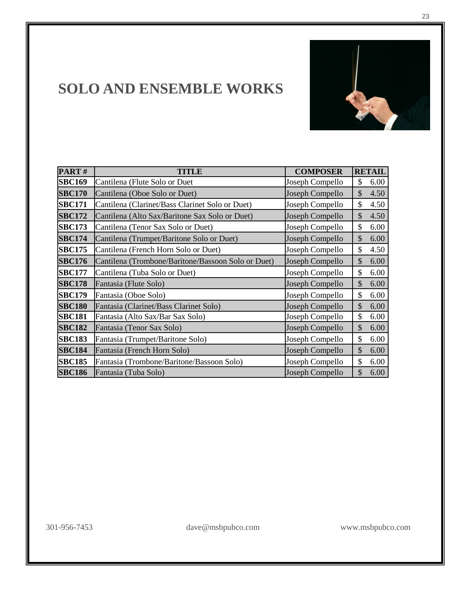

| PART#         | ITLE                                               | <b>COMPOSER</b> | <b>RETAIL</b>         |
|---------------|----------------------------------------------------|-----------------|-----------------------|
| <b>SBC169</b> | Cantilena (Flute Solo or Duet                      | Joseph Compello | \$<br>6.00            |
| <b>SBC170</b> | Cantilena (Oboe Solo or Duet)                      | Joseph Compello | $\mathcal{S}$<br>4.50 |
| <b>SBC171</b> | Cantilena (Clarinet/Bass Clarinet Solo or Duet)    | Joseph Compello | \$<br>4.50            |
| <b>SBC172</b> | Cantilena (Alto Sax/Baritone Sax Solo or Duet)     | Joseph Compello | $\mathcal{S}$<br>4.50 |
| <b>SBC173</b> | Cantilena (Tenor Sax Solo or Duet)                 | Joseph Compello | \$<br>6.00            |
| <b>SBC174</b> | Cantilena (Trumpet/Baritone Solo or Duet)          | Joseph Compello | $\mathcal{S}$<br>6.00 |
| <b>SBC175</b> | Cantilena (French Horn Solo or Duet)               | Joseph Compello | \$<br>4.50            |
| <b>SBC176</b> | Cantilena (Trombone/Baritone/Bassoon Solo or Duet) | Joseph Compello | $\mathcal{S}$<br>6.00 |
| <b>SBC177</b> | Cantilena (Tuba Solo or Duet)                      | Joseph Compello | \$<br>6.00            |
| <b>SBC178</b> | Fantasia (Flute Solo)                              | Joseph Compello | \$<br>6.00            |
| <b>SBC179</b> | Fantasia (Oboe Solo)                               | Joseph Compello | \$<br>6.00            |
| <b>SBC180</b> | Fantasia (Clarinet/Bass Clarinet Solo)             | Joseph Compello | \$<br>6.00            |
| <b>SBC181</b> | Fantasia (Alto Sax/Bar Sax Solo)                   | Joseph Compello | \$<br>6.00            |
| <b>SBC182</b> | Fantasia (Tenor Sax Solo)                          | Joseph Compello | \$<br>6.00            |
| <b>SBC183</b> | Fantasia (Trumpet/Baritone Solo)                   | Joseph Compello | \$<br>6.00            |
| <b>SBC184</b> | Fantasia (French Horn Solo)                        | Joseph Compello | \$<br>6.00            |
| <b>SBC185</b> | Fantasia (Trombone/Baritone/Bassoon Solo)          | Joseph Compello | \$<br>6.00            |
| <b>SBC186</b> | Fantasia (Tuba Solo)                               | Joseph Compello | \$<br>6.00            |